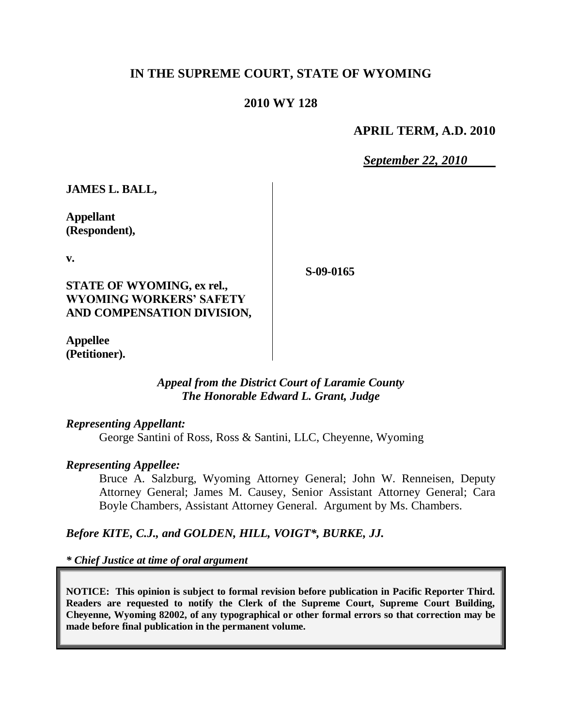## **IN THE SUPREME COURT, STATE OF WYOMING**

## **2010 WY 128**

### **APRIL TERM, A.D. 2010**

*September 22, 2010*

**JAMES L. BALL,**

**Appellant (Respondent),**

**v.**

**S-09-0165**

**STATE OF WYOMING, ex rel., WYOMING WORKERS' SAFETY AND COMPENSATION DIVISION,**

**Appellee (Petitioner).**

### *Appeal from the District Court of Laramie County The Honorable Edward L. Grant, Judge*

#### *Representing Appellant:*

George Santini of Ross, Ross & Santini, LLC, Cheyenne, Wyoming

### *Representing Appellee:*

Bruce A. Salzburg, Wyoming Attorney General; John W. Renneisen, Deputy Attorney General; James M. Causey, Senior Assistant Attorney General; Cara Boyle Chambers, Assistant Attorney General. Argument by Ms. Chambers.

## *Before KITE, C.J., and GOLDEN, HILL, VOIGT\*, BURKE, JJ.*

*\* Chief Justice at time of oral argument*

**NOTICE: This opinion is subject to formal revision before publication in Pacific Reporter Third. Readers are requested to notify the Clerk of the Supreme Court, Supreme Court Building, Cheyenne, Wyoming 82002, of any typographical or other formal errors so that correction may be made before final publication in the permanent volume.**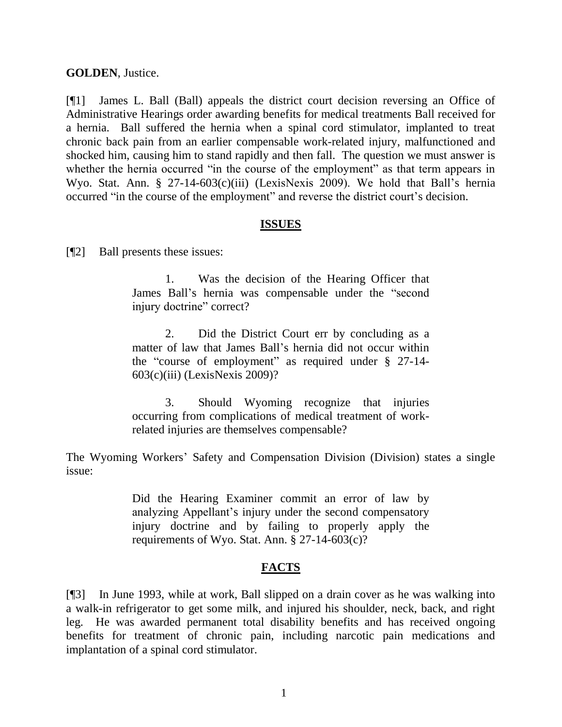#### **GOLDEN**, Justice.

[¶1] James L. Ball (Ball) appeals the district court decision reversing an Office of Administrative Hearings order awarding benefits for medical treatments Ball received for a hernia. Ball suffered the hernia when a spinal cord stimulator, implanted to treat chronic back pain from an earlier compensable work-related injury, malfunctioned and shocked him, causing him to stand rapidly and then fall. The question we must answer is whether the hernia occurred "in the course of the employment" as that term appears in Wyo. Stat. Ann. § 27-14-603(c)(iii) (LexisNexis 2009). We hold that Ball's hernia occurred "in the course of the employment" and reverse the district court's decision.

#### **ISSUES**

[¶2] Ball presents these issues:

1. Was the decision of the Hearing Officer that James Ball's hernia was compensable under the "second injury doctrine" correct?

2. Did the District Court err by concluding as a matter of law that James Ball's hernia did not occur within the "course of employment" as required under § 27-14- 603(c)(iii) (LexisNexis 2009)?

3. Should Wyoming recognize that injuries occurring from complications of medical treatment of workrelated injuries are themselves compensable?

The Wyoming Workers' Safety and Compensation Division (Division) states a single issue:

> Did the Hearing Examiner commit an error of law by analyzing Appellant's injury under the second compensatory injury doctrine and by failing to properly apply the requirements of Wyo. Stat. Ann. § 27-14-603(c)?

## **FACTS**

[¶3] In June 1993, while at work, Ball slipped on a drain cover as he was walking into a walk-in refrigerator to get some milk, and injured his shoulder, neck, back, and right leg. He was awarded permanent total disability benefits and has received ongoing benefits for treatment of chronic pain, including narcotic pain medications and implantation of a spinal cord stimulator.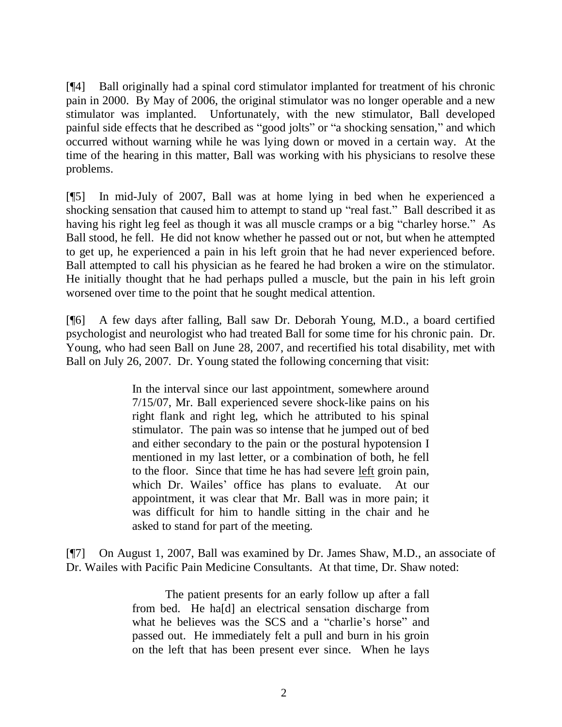[¶4] Ball originally had a spinal cord stimulator implanted for treatment of his chronic pain in 2000. By May of 2006, the original stimulator was no longer operable and a new stimulator was implanted. Unfortunately, with the new stimulator, Ball developed painful side effects that he described as "good jolts" or "a shocking sensation," and which occurred without warning while he was lying down or moved in a certain way. At the time of the hearing in this matter, Ball was working with his physicians to resolve these problems.

[¶5] In mid-July of 2007, Ball was at home lying in bed when he experienced a shocking sensation that caused him to attempt to stand up "real fast." Ball described it as having his right leg feel as though it was all muscle cramps or a big "charley horse." As Ball stood, he fell. He did not know whether he passed out or not, but when he attempted to get up, he experienced a pain in his left groin that he had never experienced before. Ball attempted to call his physician as he feared he had broken a wire on the stimulator. He initially thought that he had perhaps pulled a muscle, but the pain in his left groin worsened over time to the point that he sought medical attention.

[¶6] A few days after falling, Ball saw Dr. Deborah Young, M.D., a board certified psychologist and neurologist who had treated Ball for some time for his chronic pain. Dr. Young, who had seen Ball on June 28, 2007, and recertified his total disability, met with Ball on July 26, 2007. Dr. Young stated the following concerning that visit:

> In the interval since our last appointment, somewhere around 7/15/07, Mr. Ball experienced severe shock-like pains on his right flank and right leg, which he attributed to his spinal stimulator. The pain was so intense that he jumped out of bed and either secondary to the pain or the postural hypotension I mentioned in my last letter, or a combination of both, he fell to the floor. Since that time he has had severe left groin pain, which Dr. Wailes' office has plans to evaluate. At our appointment, it was clear that Mr. Ball was in more pain; it was difficult for him to handle sitting in the chair and he asked to stand for part of the meeting.

[¶7] On August 1, 2007, Ball was examined by Dr. James Shaw, M.D., an associate of Dr. Wailes with Pacific Pain Medicine Consultants. At that time, Dr. Shaw noted:

> The patient presents for an early follow up after a fall from bed. He ha[d] an electrical sensation discharge from what he believes was the SCS and a "charlie's horse" and passed out. He immediately felt a pull and burn in his groin on the left that has been present ever since. When he lays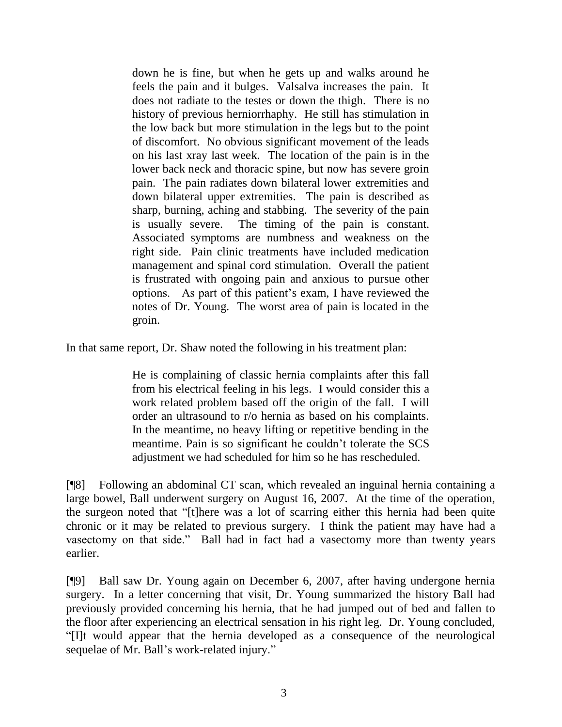down he is fine, but when he gets up and walks around he feels the pain and it bulges. Valsalva increases the pain. It does not radiate to the testes or down the thigh. There is no history of previous herniorrhaphy. He still has stimulation in the low back but more stimulation in the legs but to the point of discomfort. No obvious significant movement of the leads on his last xray last week. The location of the pain is in the lower back neck and thoracic spine, but now has severe groin pain. The pain radiates down bilateral lower extremities and down bilateral upper extremities. The pain is described as sharp, burning, aching and stabbing. The severity of the pain is usually severe. The timing of the pain is constant. Associated symptoms are numbness and weakness on the right side. Pain clinic treatments have included medication management and spinal cord stimulation. Overall the patient is frustrated with ongoing pain and anxious to pursue other options. As part of this patient's exam, I have reviewed the notes of Dr. Young. The worst area of pain is located in the groin.

In that same report, Dr. Shaw noted the following in his treatment plan:

He is complaining of classic hernia complaints after this fall from his electrical feeling in his legs. I would consider this a work related problem based off the origin of the fall. I will order an ultrasound to r/o hernia as based on his complaints. In the meantime, no heavy lifting or repetitive bending in the meantime. Pain is so significant he couldn't tolerate the SCS adjustment we had scheduled for him so he has rescheduled.

[¶8] Following an abdominal CT scan, which revealed an inguinal hernia containing a large bowel, Ball underwent surgery on August 16, 2007. At the time of the operation, the surgeon noted that "[t]here was a lot of scarring either this hernia had been quite chronic or it may be related to previous surgery. I think the patient may have had a vasectomy on that side." Ball had in fact had a vasectomy more than twenty years earlier.

[¶9] Ball saw Dr. Young again on December 6, 2007, after having undergone hernia surgery. In a letter concerning that visit, Dr. Young summarized the history Ball had previously provided concerning his hernia, that he had jumped out of bed and fallen to the floor after experiencing an electrical sensation in his right leg. Dr. Young concluded, "[I]t would appear that the hernia developed as a consequence of the neurological sequelae of Mr. Ball's work-related injury."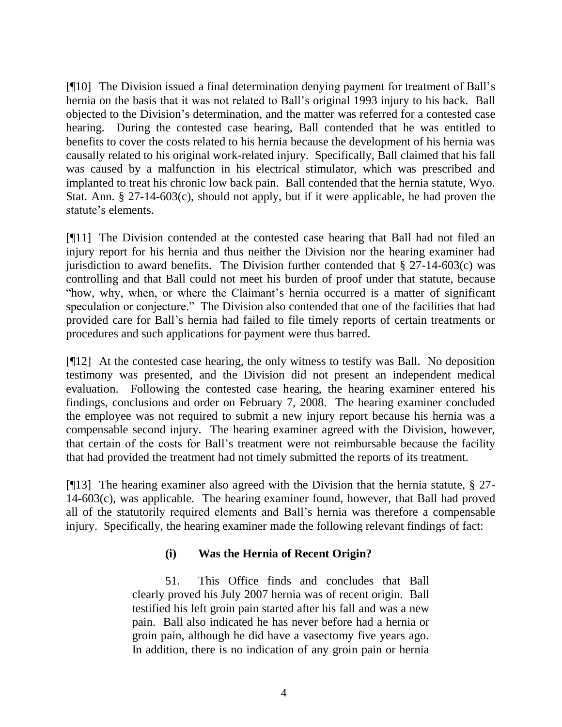[¶10] The Division issued a final determination denying payment for treatment of Ball's hernia on the basis that it was not related to Ball's original 1993 injury to his back. Ball objected to the Division's determination, and the matter was referred for a contested case hearing. During the contested case hearing, Ball contended that he was entitled to benefits to cover the costs related to his hernia because the development of his hernia was causally related to his original work-related injury. Specifically, Ball claimed that his fall was caused by a malfunction in his electrical stimulator, which was prescribed and implanted to treat his chronic low back pain. Ball contended that the hernia statute, Wyo. Stat. Ann. § 27-14-603(c), should not apply, but if it were applicable, he had proven the statute's elements.

[¶11] The Division contended at the contested case hearing that Ball had not filed an injury report for his hernia and thus neither the Division nor the hearing examiner had jurisdiction to award benefits. The Division further contended that  $\S$  27-14-603(c) was controlling and that Ball could not meet his burden of proof under that statute, because "how, why, when, or where the Claimant's hernia occurred is a matter of significant speculation or conjecture." The Division also contended that one of the facilities that had provided care for Ball's hernia had failed to file timely reports of certain treatments or procedures and such applications for payment were thus barred.

[¶12] At the contested case hearing, the only witness to testify was Ball. No deposition testimony was presented, and the Division did not present an independent medical evaluation. Following the contested case hearing, the hearing examiner entered his findings, conclusions and order on February 7, 2008. The hearing examiner concluded the employee was not required to submit a new injury report because his hernia was a compensable second injury. The hearing examiner agreed with the Division, however, that certain of the costs for Ball's treatment were not reimbursable because the facility that had provided the treatment had not timely submitted the reports of its treatment.

[¶13] The hearing examiner also agreed with the Division that the hernia statute, § 27- 14-603(c), was applicable. The hearing examiner found, however, that Ball had proved all of the statutorily required elements and Ball's hernia was therefore a compensable injury. Specifically, the hearing examiner made the following relevant findings of fact:

### **(i) Was the Hernia of Recent Origin?**

51. This Office finds and concludes that Ball clearly proved his July 2007 hernia was of recent origin. Ball testified his left groin pain started after his fall and was a new pain. Ball also indicated he has never before had a hernia or groin pain, although he did have a vasectomy five years ago. In addition, there is no indication of any groin pain or hernia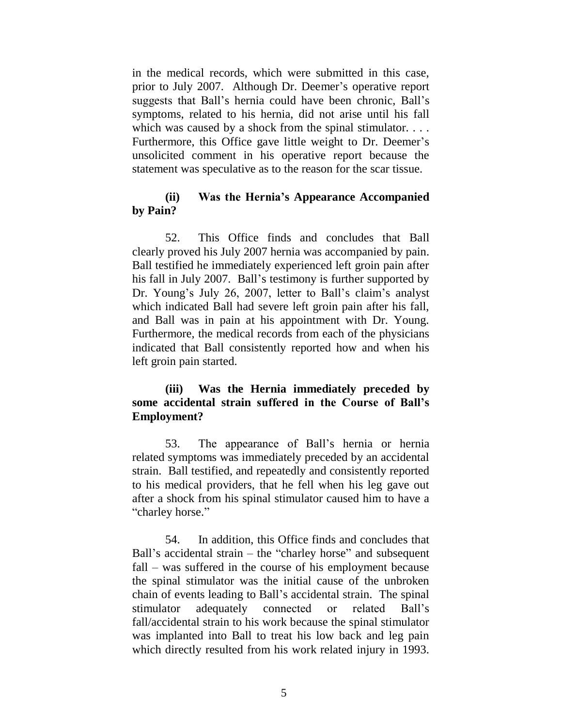in the medical records, which were submitted in this case, prior to July 2007. Although Dr. Deemer's operative report suggests that Ball's hernia could have been chronic, Ball's symptoms, related to his hernia, did not arise until his fall which was caused by a shock from the spinal stimulator. . . . Furthermore, this Office gave little weight to Dr. Deemer's unsolicited comment in his operative report because the statement was speculative as to the reason for the scar tissue.

### **(ii) Was the Hernia's Appearance Accompanied by Pain?**

52. This Office finds and concludes that Ball clearly proved his July 2007 hernia was accompanied by pain. Ball testified he immediately experienced left groin pain after his fall in July 2007. Ball's testimony is further supported by Dr. Young's July 26, 2007, letter to Ball's claim's analyst which indicated Ball had severe left groin pain after his fall, and Ball was in pain at his appointment with Dr. Young. Furthermore, the medical records from each of the physicians indicated that Ball consistently reported how and when his left groin pain started.

## **(iii) Was the Hernia immediately preceded by some accidental strain suffered in the Course of Ball's Employment?**

53. The appearance of Ball's hernia or hernia related symptoms was immediately preceded by an accidental strain. Ball testified, and repeatedly and consistently reported to his medical providers, that he fell when his leg gave out after a shock from his spinal stimulator caused him to have a "charley horse."

54. In addition, this Office finds and concludes that Ball's accidental strain – the "charley horse" and subsequent fall – was suffered in the course of his employment because the spinal stimulator was the initial cause of the unbroken chain of events leading to Ball's accidental strain. The spinal stimulator adequately connected or related Ball's fall/accidental strain to his work because the spinal stimulator was implanted into Ball to treat his low back and leg pain which directly resulted from his work related injury in 1993.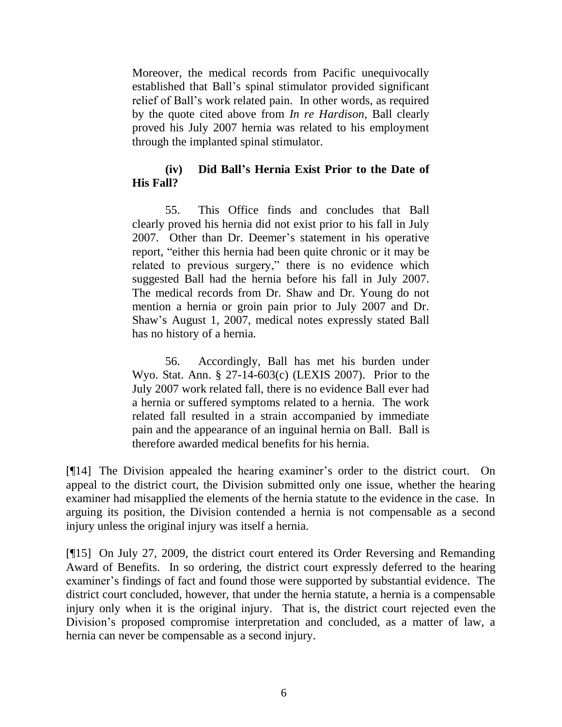Moreover, the medical records from Pacific unequivocally established that Ball's spinal stimulator provided significant relief of Ball's work related pain. In other words, as required by the quote cited above from *In re Hardison*, Ball clearly proved his July 2007 hernia was related to his employment through the implanted spinal stimulator.

## **(iv) Did Ball's Hernia Exist Prior to the Date of His Fall?**

55. This Office finds and concludes that Ball clearly proved his hernia did not exist prior to his fall in July 2007. Other than Dr. Deemer's statement in his operative report, "either this hernia had been quite chronic or it may be related to previous surgery," there is no evidence which suggested Ball had the hernia before his fall in July 2007. The medical records from Dr. Shaw and Dr. Young do not mention a hernia or groin pain prior to July 2007 and Dr. Shaw's August 1, 2007, medical notes expressly stated Ball has no history of a hernia.

56. Accordingly, Ball has met his burden under Wyo. Stat. Ann. § 27-14-603(c) (LEXIS 2007). Prior to the July 2007 work related fall, there is no evidence Ball ever had a hernia or suffered symptoms related to a hernia. The work related fall resulted in a strain accompanied by immediate pain and the appearance of an inguinal hernia on Ball. Ball is therefore awarded medical benefits for his hernia.

[¶14] The Division appealed the hearing examiner's order to the district court. On appeal to the district court, the Division submitted only one issue, whether the hearing examiner had misapplied the elements of the hernia statute to the evidence in the case. In arguing its position, the Division contended a hernia is not compensable as a second injury unless the original injury was itself a hernia.

[¶15] On July 27, 2009, the district court entered its Order Reversing and Remanding Award of Benefits. In so ordering, the district court expressly deferred to the hearing examiner's findings of fact and found those were supported by substantial evidence. The district court concluded, however, that under the hernia statute, a hernia is a compensable injury only when it is the original injury. That is, the district court rejected even the Division's proposed compromise interpretation and concluded, as a matter of law, a hernia can never be compensable as a second injury.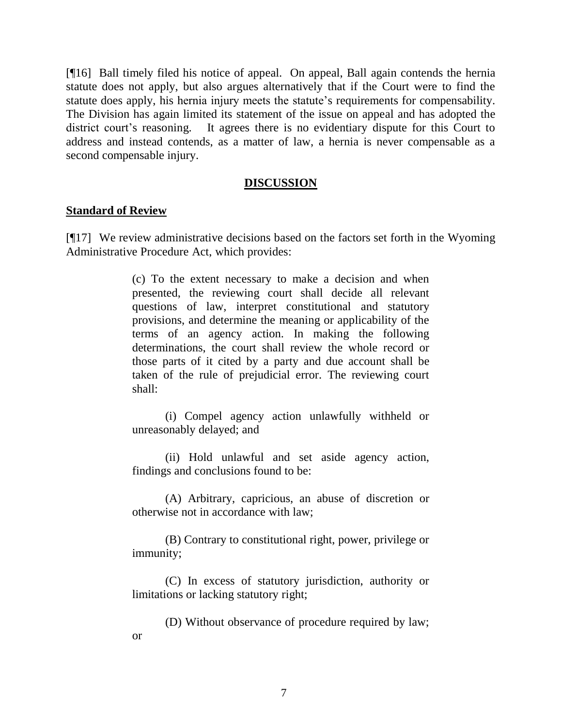[¶16] Ball timely filed his notice of appeal. On appeal, Ball again contends the hernia statute does not apply, but also argues alternatively that if the Court were to find the statute does apply, his hernia injury meets the statute's requirements for compensability. The Division has again limited its statement of the issue on appeal and has adopted the district court's reasoning. It agrees there is no evidentiary dispute for this Court to address and instead contends, as a matter of law, a hernia is never compensable as a second compensable injury.

#### **DISCUSSION**

#### **Standard of Review**

[¶17] We review administrative decisions based on the factors set forth in the Wyoming Administrative Procedure Act, which provides:

> (c) To the extent necessary to make a decision and when presented, the reviewing court shall decide all relevant questions of law, interpret constitutional and statutory provisions, and determine the meaning or applicability of the terms of an agency action. In making the following determinations, the court shall review the whole record or those parts of it cited by a party and due account shall be taken of the rule of prejudicial error. The reviewing court shall:

> (i) Compel agency action unlawfully withheld or unreasonably delayed; and

> (ii) Hold unlawful and set aside agency action, findings and conclusions found to be:

> (A) Arbitrary, capricious, an abuse of discretion or otherwise not in accordance with law;

> (B) Contrary to constitutional right, power, privilege or immunity;

> (C) In excess of statutory jurisdiction, authority or limitations or lacking statutory right;

> (D) Without observance of procedure required by law; or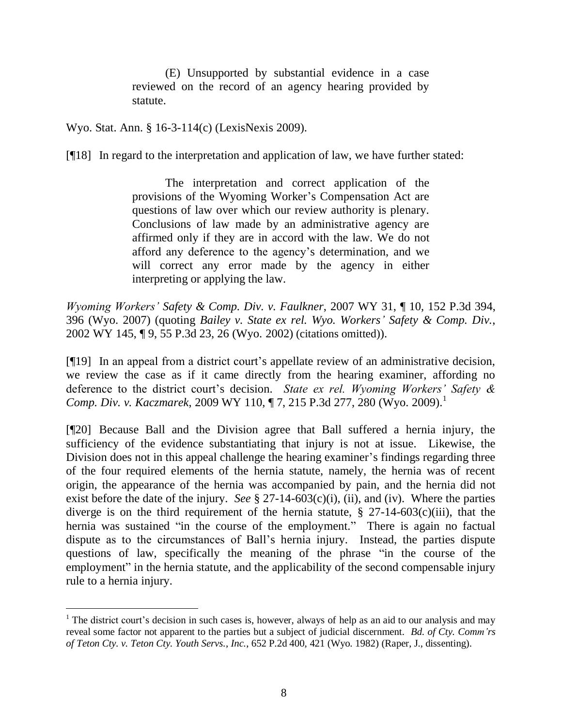(E) Unsupported by substantial evidence in a case reviewed on the record of an agency hearing provided by statute.

Wyo. Stat. Ann. § 16-3-114(c) (LexisNexis 2009).

 $\overline{a}$ 

[¶18] In regard to the interpretation and application of law, we have further stated:

The interpretation and correct application of the provisions of the Wyoming Worker's Compensation Act are questions of law over which our review authority is plenary. Conclusions of law made by an administrative agency are affirmed only if they are in accord with the law. We do not afford any deference to the agency's determination, and we will correct any error made by the agency in either interpreting or applying the law.

*Wyoming Workers' Safety & Comp. Div. v. Faulkner*, 2007 WY 31, ¶ 10, 152 P.3d 394, 396 (Wyo. 2007) (quoting *[Bailey v. State ex rel. Wyo. Workers'](http://www.westlaw.com/Find/Default.wl?rs=dfa1.0&vr=2.0&DB=4645&FindType=Y&ReferencePositionType=S&SerialNum=2002615827&ReferencePosition=26) Safety & Comp. Div.*[,](http://www.westlaw.com/Find/Default.wl?rs=dfa1.0&vr=2.0&DB=4645&FindType=Y&ReferencePositionType=S&SerialNum=2002615827&ReferencePosition=26) 2002 WY 145, ¶ 9, 55 P.3d 23, 26 (Wyo. 2002) (citations omitted)).

[¶19] In an appeal from a district court's appellate review of an administrative decision, we review the case as if it came directly from the hearing examiner, affording no deference to the district court's decision. *State ex rel. Wyoming Workers' Safety & Comp. Div. v. Kaczmarek, 2009 WY 110, ¶ 7, 215 P.3d 277, 280 (Wyo. 2009).*<sup>1</sup>

[¶20] Because Ball and the Division agree that Ball suffered a hernia injury, the sufficiency of the evidence substantiating that injury is not at issue. Likewise, the Division does not in this appeal challenge the hearing examiner's findings regarding three of the four required elements of the hernia statute, namely, the hernia was of recent origin, the appearance of the hernia was accompanied by pain, and the hernia did not exist before the date of the injury. *See* § 27-14-603(c)(i), (ii), and (iv). Where the parties diverge is on the third requirement of the hernia statute,  $\S$  27-14-603(c)(iii), that the hernia was sustained "in the course of the employment." There is again no factual dispute as to the circumstances of Ball's hernia injury. Instead, the parties dispute questions of law, specifically the meaning of the phrase "in the course of the employment" in the hernia statute, and the applicability of the second compensable injury rule to a hernia injury.

 $1$  The district court's decision in such cases is, however, always of help as an aid to our analysis and may reveal some factor not apparent to the parties but a subject of judicial discernment. *Bd. of Cty. Comm'rs of Teton Cty. v. Teton Cty. Youth Servs., Inc.*, 652 P.2d 400, 421 (Wyo. 1982) (Raper, J., dissenting).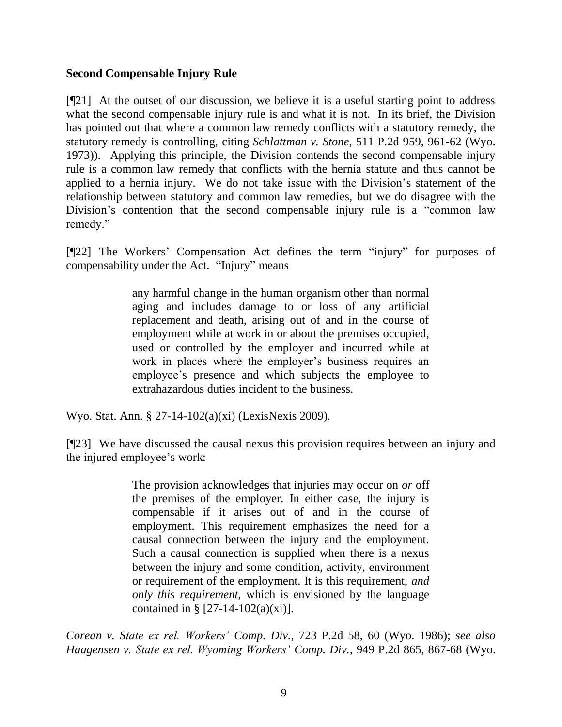## **Second Compensable Injury Rule**

[¶21] At the outset of our discussion, we believe it is a useful starting point to address what the second compensable injury rule is and what it is not. In its brief, the Division has pointed out that where a common law remedy conflicts with a statutory remedy, the statutory remedy is controlling, citing *Schlattman v. Stone*, 511 P.2d 959, 961-62 (Wyo. 1973)). Applying this principle, the Division contends the second compensable injury rule is a common law remedy that conflicts with the hernia statute and thus cannot be applied to a hernia injury. We do not take issue with the Division's statement of the relationship between statutory and common law remedies, but we do disagree with the Division's contention that the second compensable injury rule is a "common law remedy."

[¶22] The Workers' Compensation Act defines the term "injury" for purposes of compensability under the Act. "Injury" means

> any harmful change in the human organism other than normal aging and includes damage to or loss of any artificial replacement and death, arising out of and in the course of employment while at work in or about the premises occupied, used or controlled by the employer and incurred while at work in places where the employer's business requires an employee's presence and which subjects the employee to extrahazardous duties incident to the business.

Wyo. Stat. Ann. § 27-14-102(a)(xi) (LexisNexis 2009).

[¶23] We have discussed the causal nexus this provision requires between an injury and the injured employee's work:

> The provision acknowledges that injuries may occur on *or* off the premises of the employer. In either case, the injury is compensable if it arises out of and in the course of employment. This requirement emphasizes the need for a causal connection between the injury and the employment. Such a causal connection is supplied when there is a nexus between the injury and some condition, activity, environment or requirement of the employment. It is this requirement, *and only this requirement,* which is envisioned by the language contained in §  $[27-14-102(a)(xi)].$

*Corean v. State ex rel. Workers' Comp. Div.*, 723 P.2d 58, 60 (Wyo. 1986); *see also Haagensen v. State ex rel. Wyoming Workers' Comp. Div.*, 949 P.2d 865, 867-68 (Wyo.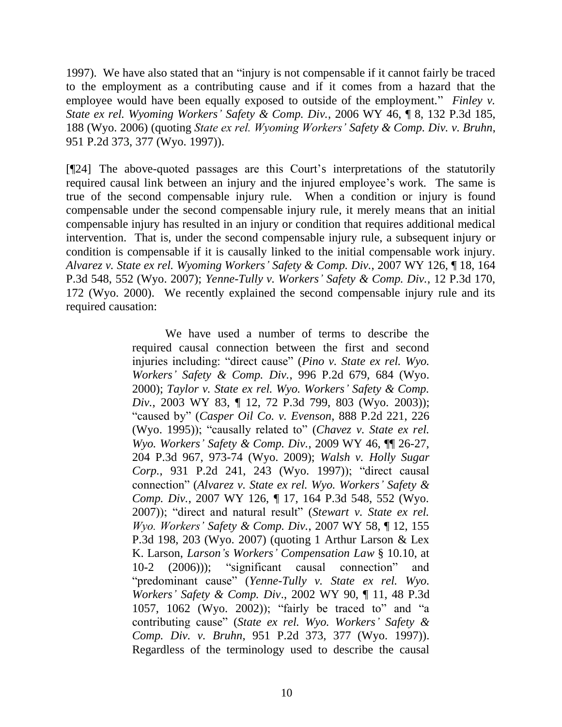1997). We have also stated that an "injury is not compensable if it cannot fairly be traced to the employment as a contributing cause and if it comes from a hazard that the employee would have been equally exposed to outside of the employment." *Finley v. State ex rel. Wyoming Workers' Safety & Comp. Div.*, 2006 WY 46, ¶ 8, 132 P.3d 185, 188 (Wyo. 2006) (quoting *State ex rel. Wyoming Workers' Safety & Comp. Div. v. Bruhn*, 951 P.2d 373, 377 (Wyo. 1997)).

[¶24] The above-quoted passages are this Court's interpretations of the statutorily required causal link between an injury and the injured employee's work. The same is true of the second compensable injury rule. When a condition or injury is found compensable under the second compensable injury rule, it merely means that an initial compensable injury has resulted in an injury or condition that requires additional medical intervention. That is, under the second compensable injury rule, a subsequent injury or condition is compensable if it is causally linked to the initial compensable work injury. *Alvarez v. State ex rel. Wyoming Workers' Safety & Comp. Div.*, 2007 WY 126, ¶ 18, 164 P.3d 548, 552 (Wyo. 2007); *[Yenne-Tully v. Workers'](http://www.westlaw.com/Find/Default.wl?rs=dfa1.0&vr=2.0&DB=4645&FindType=Y&ReferencePositionType=S&SerialNum=2000553427&ReferencePosition=172) Safety & Comp. Div.*, [12 P.3d 170,](http://www.westlaw.com/Find/Default.wl?rs=dfa1.0&vr=2.0&DB=4645&FindType=Y&ReferencePositionType=S&SerialNum=2000553427&ReferencePosition=172)  172 (Wyo. 2000). We recently explained the second compensable injury rule and its required causation:

> We have used a number of terms to describe the required causal connection between the first and second injuries including: "direct cause" [\(](http://www.westlaw.com/Find/Default.wl?rs=dfa1.0&vr=2.0&DB=661&FindType=Y&ReferencePositionType=S&SerialNum=2000056679&ReferencePosition=684)*[Pino v. State ex rel. Wyo.](http://www.westlaw.com/Find/Default.wl?rs=dfa1.0&vr=2.0&DB=661&FindType=Y&ReferencePositionType=S&SerialNum=2000056679&ReferencePosition=684)  Workers' Safety & Comp. Div.*, [996 P.2d 679, 684 \(Wyo.](http://www.westlaw.com/Find/Default.wl?rs=dfa1.0&vr=2.0&DB=661&FindType=Y&ReferencePositionType=S&SerialNum=2000056679&ReferencePosition=684) [2000\);](http://www.westlaw.com/Find/Default.wl?rs=dfa1.0&vr=2.0&DB=661&FindType=Y&ReferencePositionType=S&SerialNum=2000056679&ReferencePosition=684) *[Taylor v. State ex rel. Wyo. Workers'](http://www.westlaw.com/Find/Default.wl?rs=dfa1.0&vr=2.0&DB=4645&FindType=Y&ReferencePositionType=S&SerialNum=2003482999&ReferencePosition=803) Safety & Comp. [Div.](http://www.westlaw.com/Find/Default.wl?rs=dfa1.0&vr=2.0&DB=4645&FindType=Y&ReferencePositionType=S&SerialNum=2003482999&ReferencePosition=803)*, [2003 WY 83, ¶ 12, 72 P.3d 799, 803 \(Wyo.](http://www.westlaw.com/Find/Default.wl?rs=dfa1.0&vr=2.0&DB=4645&FindType=Y&ReferencePositionType=S&SerialNum=2003482999&ReferencePosition=803) 2003)); "caused by" [\(](http://www.westlaw.com/Find/Default.wl?rs=dfa1.0&vr=2.0&DB=661&FindType=Y&ReferencePositionType=S&SerialNum=1995027335&ReferencePosition=226)*[Casper Oil Co. v. Evenson](http://www.westlaw.com/Find/Default.wl?rs=dfa1.0&vr=2.0&DB=661&FindType=Y&ReferencePositionType=S&SerialNum=1995027335&ReferencePosition=226)*, [888 P.2d 221, 226](http://www.westlaw.com/Find/Default.wl?rs=dfa1.0&vr=2.0&DB=661&FindType=Y&ReferencePositionType=S&SerialNum=1995027335&ReferencePosition=226)  (Wyo. [1995\)\)](http://www.westlaw.com/Find/Default.wl?rs=dfa1.0&vr=2.0&DB=661&FindType=Y&ReferencePositionType=S&SerialNum=1995027335&ReferencePosition=226); "causally related to" [\(](http://www.westlaw.com/Find/Default.wl?rs=dfa1.0&vr=2.0&DB=4645&FindType=Y&ReferencePositionType=S&SerialNum=2018504994&ReferencePosition=973)*[Chavez v. State ex rel.](http://www.westlaw.com/Find/Default.wl?rs=dfa1.0&vr=2.0&DB=4645&FindType=Y&ReferencePositionType=S&SerialNum=2018504994&ReferencePosition=973)  Wyo. Workers' Safety & Comp. Div.*, [2009 WY 46, ¶¶ 26-27,](http://www.westlaw.com/Find/Default.wl?rs=dfa1.0&vr=2.0&DB=4645&FindType=Y&ReferencePositionType=S&SerialNum=2018504994&ReferencePosition=973)  [204 P.3d 967, 973-74 \(Wyo.](http://www.westlaw.com/Find/Default.wl?rs=dfa1.0&vr=2.0&DB=4645&FindType=Y&ReferencePositionType=S&SerialNum=2018504994&ReferencePosition=973) 2009); *[Walsh v. Holly Sugar](http://www.westlaw.com/Find/Default.wl?rs=dfa1.0&vr=2.0&DB=661&FindType=Y&ReferencePositionType=S&SerialNum=1997038154&ReferencePosition=243)  [Corp.](http://www.westlaw.com/Find/Default.wl?rs=dfa1.0&vr=2.0&DB=661&FindType=Y&ReferencePositionType=S&SerialNum=1997038154&ReferencePosition=243)*, [931 P.2d 241, 243 \(Wyo.](http://www.westlaw.com/Find/Default.wl?rs=dfa1.0&vr=2.0&DB=661&FindType=Y&ReferencePositionType=S&SerialNum=1997038154&ReferencePosition=243) 1997)); "direct causal connection" [\(](http://www.westlaw.com/Find/Default.wl?rs=dfa1.0&vr=2.0&DB=4645&FindType=Y&ReferencePositionType=S&SerialNum=2012852510&ReferencePosition=552)*[Alvarez v. State ex rel. Wyo. Workers'](http://www.westlaw.com/Find/Default.wl?rs=dfa1.0&vr=2.0&DB=4645&FindType=Y&ReferencePositionType=S&SerialNum=2012852510&ReferencePosition=552) Safety & Comp. Div.*, [2007 WY 126, ¶ 17, 164 P.3d 548, 552 \(Wyo.](http://www.westlaw.com/Find/Default.wl?rs=dfa1.0&vr=2.0&DB=4645&FindType=Y&ReferencePositionType=S&SerialNum=2012852510&ReferencePosition=552) [2007\)\)](http://www.westlaw.com/Find/Default.wl?rs=dfa1.0&vr=2.0&DB=4645&FindType=Y&ReferencePositionType=S&SerialNum=2012852510&ReferencePosition=552); "direct and natural result" [\(](http://www.westlaw.com/Find/Default.wl?rs=dfa1.0&vr=2.0&DB=4645&FindType=Y&ReferencePositionType=S&SerialNum=2011913830&ReferencePosition=203)*[Stewart v. State ex rel.](http://www.westlaw.com/Find/Default.wl?rs=dfa1.0&vr=2.0&DB=4645&FindType=Y&ReferencePositionType=S&SerialNum=2011913830&ReferencePosition=203)  Wyo. Workers' Safety & Comp. Div.*, [2007 WY 58, ¶ 12, 155](http://www.westlaw.com/Find/Default.wl?rs=dfa1.0&vr=2.0&DB=4645&FindType=Y&ReferencePositionType=S&SerialNum=2011913830&ReferencePosition=203)  [P.3d 198, 203 \(Wyo.](http://www.westlaw.com/Find/Default.wl?rs=dfa1.0&vr=2.0&DB=4645&FindType=Y&ReferencePositionType=S&SerialNum=2011913830&ReferencePosition=203) 2007) (quoting 1 Arthur Larson & Lex K. Larson, *Larson's Workers' Compensation Law* § 10.10, at 10-2 (2006))); "significant causal connection" and "predominant cause" [\(](http://www.westlaw.com/Find/Default.wl?rs=dfa1.0&vr=2.0&DB=4645&FindType=Y&ReferencePositionType=S&SerialNum=2002375660&ReferencePosition=1062)*[Yenne-Tully v. State ex rel. Wyo.](http://www.westlaw.com/Find/Default.wl?rs=dfa1.0&vr=2.0&DB=4645&FindType=Y&ReferencePositionType=S&SerialNum=2002375660&ReferencePosition=1062)  Workers' Safety & Comp. Div*., [2002 WY 90, ¶ 11, 48 P.3d](http://www.westlaw.com/Find/Default.wl?rs=dfa1.0&vr=2.0&DB=4645&FindType=Y&ReferencePositionType=S&SerialNum=2002375660&ReferencePosition=1062)  [1057, 1062 \(Wyo.](http://www.westlaw.com/Find/Default.wl?rs=dfa1.0&vr=2.0&DB=4645&FindType=Y&ReferencePositionType=S&SerialNum=2002375660&ReferencePosition=1062) 2002)); "fairly be traced to" and "a contributing cause" [\(](http://www.westlaw.com/Find/Default.wl?rs=dfa1.0&vr=2.0&DB=661&FindType=Y&ReferencePositionType=S&SerialNum=1997249616&ReferencePosition=377)*[State ex rel. Wyo. Workers'](http://www.westlaw.com/Find/Default.wl?rs=dfa1.0&vr=2.0&DB=661&FindType=Y&ReferencePositionType=S&SerialNum=1997249616&ReferencePosition=377) Safety & Comp. Div. v. Bruhn*, [951 P.2d 373, 377 \(Wyo.](http://www.westlaw.com/Find/Default.wl?rs=dfa1.0&vr=2.0&DB=661&FindType=Y&ReferencePositionType=S&SerialNum=1997249616&ReferencePosition=377) 1997)). Regardless of the terminology used to describe the causal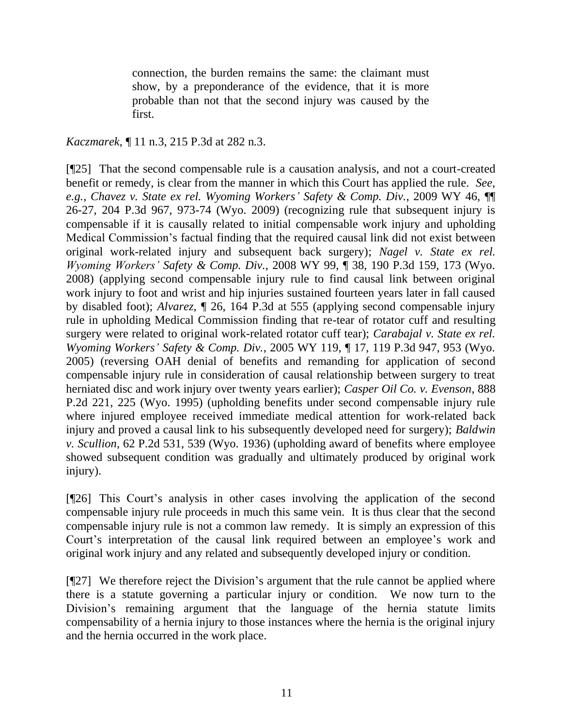connection, the burden remains the same: the claimant must show, by a preponderance of the evidence, that it is more probable than not that the second injury was caused by the first.

*Kaczmarek*, ¶ 11 n.3, 215 P.3d at 282 n.3.

[¶25] That the second compensable rule is a causation analysis, and not a court-created benefit or remedy, is clear from the manner in which this Court has applied the rule. *See, e.g., Chavez v. State ex rel. Wyoming Workers' Safety & Comp. Div.*, 2009 WY 46, ¶¶ 26-27, 204 P.3d 967, 973-74 (Wyo. 2009) (recognizing rule that subsequent injury is compensable if it is causally related to initial compensable work injury and upholding Medical Commission's factual finding that the required causal link did not exist between original work-related injury and subsequent back surgery); *Nagel v. State ex rel. Wyoming Workers' Safety & Comp. Div.*, 2008 WY 99, ¶ 38, 190 P.3d 159, 173 (Wyo. 2008) (applying second compensable injury rule to find causal link between original work injury to foot and wrist and hip injuries sustained fourteen years later in fall caused by disabled foot); *Alvarez*, ¶ 26, 164 P.3d at 555 (applying second compensable injury rule in upholding Medical Commission finding that re-tear of rotator cuff and resulting surgery were related to original work-related rotator cuff tear); *Carabajal v. State ex rel. Wyoming Workers' Safety & Comp. Div.*, 2005 WY 119, ¶ 17, 119 P.3d 947, 953 (Wyo. 2005) (reversing OAH denial of benefits and remanding for application of second compensable injury rule in consideration of causal relationship between surgery to treat herniated disc and work injury over twenty years earlier); *Casper Oil Co. v. Evenson*, 888 P.2d 221, 225 (Wyo. 1995) (upholding benefits under second compensable injury rule where injured employee received immediate medical attention for work-related back injury and proved a causal link to his subsequently developed need for surgery); *Baldwin v. Scullion*, 62 P.2d 531, 539 (Wyo. 1936) (upholding award of benefits where employee showed subsequent condition was gradually and ultimately produced by original work injury).

[¶26] This Court's analysis in other cases involving the application of the second compensable injury rule proceeds in much this same vein. It is thus clear that the second compensable injury rule is not a common law remedy. It is simply an expression of this Court's interpretation of the causal link required between an employee's work and original work injury and any related and subsequently developed injury or condition.

[¶27] We therefore reject the Division's argument that the rule cannot be applied where there is a statute governing a particular injury or condition. We now turn to the Division's remaining argument that the language of the hernia statute limits compensability of a hernia injury to those instances where the hernia is the original injury and the hernia occurred in the work place.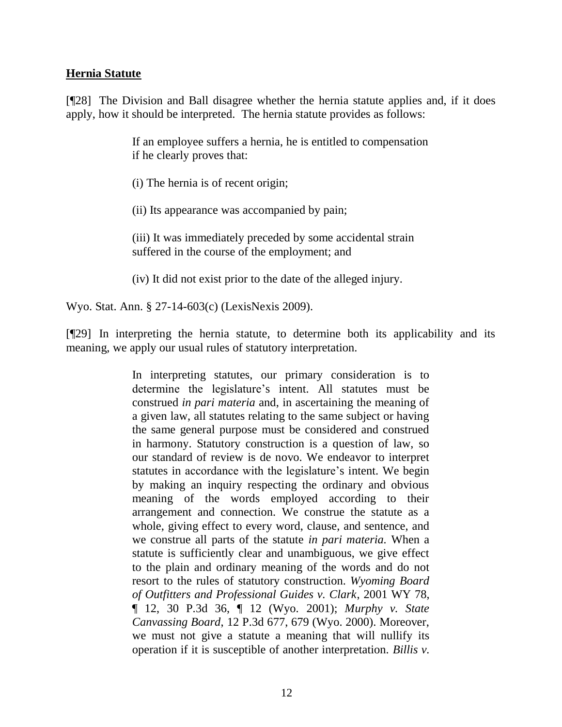### **Hernia Statute**

[¶28] The Division and Ball disagree whether the hernia statute applies and, if it does apply, how it should be interpreted. The hernia statute provides as follows:

> If an employee suffers a hernia, he is entitled to compensation if he clearly proves that:

(i) The hernia is of recent origin;

(ii) Its appearance was accompanied by pain;

(iii) It was immediately preceded by some accidental strain suffered in the course of the employment; and

(iv) It did not exist prior to the date of the alleged injury.

Wyo. Stat. Ann. § 27-14-603(c) (LexisNexis 2009).

[¶29] In interpreting the hernia statute, to determine both its applicability and its meaning, we apply our usual rules of statutory interpretation.

> In interpreting statutes, our primary consideration is to determine the legislature's intent. All statutes must be construed *in pari materia* and, in ascertaining the meaning of a given law, all statutes relating to the same subject or having the same general purpose must be considered and construed in harmony. Statutory construction is a question of law, so our standard of review is de novo. We endeavor to interpret statutes in accordance with the legislature's intent. We begin by making an inquiry respecting the ordinary and obvious meaning of the words employed according to their arrangement and connection. We construe the statute as a whole, giving effect to every word, clause, and sentence, and we construe all parts of the statute *in pari materia.* When a statute is sufficiently clear and unambiguous, we give effect to the plain and ordinary meaning of the words and do not resort to the rules of statutory construction. *[Wyoming Board](http://www.westlaw.com/Find/Default.wl?rs=dfa1.0&vr=2.0&DB=4645&FindType=Y&SerialNum=2001729690)  [of Outfitters and Professional Guides v. Clark](http://www.westlaw.com/Find/Default.wl?rs=dfa1.0&vr=2.0&DB=4645&FindType=Y&SerialNum=2001729690)*, [2001 WY 78,](http://www.westlaw.com/Find/Default.wl?rs=dfa1.0&vr=2.0&DB=4645&FindType=Y&SerialNum=2001729690)  ¶ 12, 30 P.3d 36, ¶ 12 (Wyo. 2001); *[Murphy v. State](http://www.westlaw.com/Find/Default.wl?rs=dfa1.0&vr=2.0&DB=4645&FindType=Y&ReferencePositionType=S&SerialNum=2000570159&ReferencePosition=679)  [Canvassing Board](http://www.westlaw.com/Find/Default.wl?rs=dfa1.0&vr=2.0&DB=4645&FindType=Y&ReferencePositionType=S&SerialNum=2000570159&ReferencePosition=679)*, [12 P.3d 677, 679 \(Wyo.](http://www.westlaw.com/Find/Default.wl?rs=dfa1.0&vr=2.0&DB=4645&FindType=Y&ReferencePositionType=S&SerialNum=2000570159&ReferencePosition=679) 2000). Moreover, we must not give a statute a meaning that will nullify its operation if it is susceptible of another interpretation. *[Billis v.](http://www.westlaw.com/Find/Default.wl?rs=dfa1.0&vr=2.0&DB=661&FindType=Y&ReferencePositionType=S&SerialNum=1990144247&ReferencePosition=413)*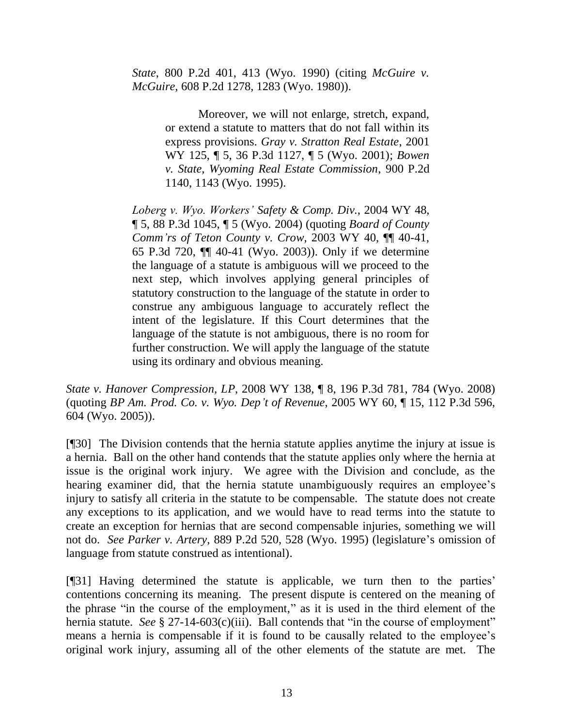*State*, [800 P.2d 401, 413 \(Wyo.](http://www.westlaw.com/Find/Default.wl?rs=dfa1.0&vr=2.0&DB=661&FindType=Y&ReferencePositionType=S&SerialNum=1990144247&ReferencePosition=413) 1990) (citing *[McGuire v.](http://www.westlaw.com/Find/Default.wl?rs=dfa1.0&vr=2.0&DB=661&FindType=Y&ReferencePositionType=S&SerialNum=1980109148&ReferencePosition=1283)  [McGuire](http://www.westlaw.com/Find/Default.wl?rs=dfa1.0&vr=2.0&DB=661&FindType=Y&ReferencePositionType=S&SerialNum=1980109148&ReferencePosition=1283)*, [608 P.2d 1278, 1283 \(Wyo.](http://www.westlaw.com/Find/Default.wl?rs=dfa1.0&vr=2.0&DB=661&FindType=Y&ReferencePositionType=S&SerialNum=1980109148&ReferencePosition=1283) 1980)).

> Moreover, we will not enlarge, stretch, expand, or extend a statute to matters that do not fall within its express provisions. *[Gray v. Stratton Real Estate](http://www.westlaw.com/Find/Default.wl?rs=dfa1.0&vr=2.0&DB=4645&FindType=Y&SerialNum=2001544880)*, [2001](http://www.westlaw.com/Find/Default.wl?rs=dfa1.0&vr=2.0&DB=4645&FindType=Y&SerialNum=2001544880)  WY 125, ¶ 5, 36 P.3d 1127, ¶ 5 (Wyo. 2001); *[Bowen](http://www.westlaw.com/Find/Default.wl?rs=dfa1.0&vr=2.0&DB=661&FindType=Y&ReferencePositionType=S&SerialNum=1995161045&ReferencePosition=1143)  [v. State, Wyoming Real Estate Commission](http://www.westlaw.com/Find/Default.wl?rs=dfa1.0&vr=2.0&DB=661&FindType=Y&ReferencePositionType=S&SerialNum=1995161045&ReferencePosition=1143)*, [900 P.2d](http://www.westlaw.com/Find/Default.wl?rs=dfa1.0&vr=2.0&DB=661&FindType=Y&ReferencePositionType=S&SerialNum=1995161045&ReferencePosition=1143)  1140, 1143 (Wyo. 1995).

*[Loberg v. Wyo. Workers'](http://www.westlaw.com/Find/Default.wl?rs=dfa1.0&vr=2.0&DB=4645&FindType=Y&SerialNum=2004378006) Safety & Comp. Div.*, [2004 WY 48,](http://www.westlaw.com/Find/Default.wl?rs=dfa1.0&vr=2.0&DB=4645&FindType=Y&SerialNum=2004378006)  ¶ 5, 88 P.3d 1045, ¶ 5 (Wyo. 2004) (quoting *[Board of County](http://www.westlaw.com/Find/Default.wl?rs=dfa1.0&vr=2.0&DB=4645&FindType=Y&SerialNum=2003237940)  [Comm'rs of Teton County v. Crow](http://www.westlaw.com/Find/Default.wl?rs=dfa1.0&vr=2.0&DB=4645&FindType=Y&SerialNum=2003237940)*, [2003 WY 40, ¶¶ 40-41,](http://www.westlaw.com/Find/Default.wl?rs=dfa1.0&vr=2.0&DB=4645&FindType=Y&SerialNum=2003237940)  65 P.3d 720, ¶¶ 40-41 (Wyo. 2003)). Only if we determine the language of a statute is ambiguous will we proceed to the next step, which involves applying general principles of statutory construction to the language of the statute in order to construe any ambiguous language to accurately reflect the intent of the legislature. If this Court determines that the language of the statute is not ambiguous, there is no room for further construction. We will apply the language of the statute using its ordinary and obvious meaning.

*State v. Hanover Compression, LP*, 2008 WY 138, ¶ 8, 196 P.3d 781, 784 (Wyo. 2008) (quoting *[BP Am. Prod. Co. v. Wyo. Dep't of Revenue](http://www.westlaw.com/Find/Default.wl?rs=dfa1.0&vr=2.0&DB=4645&FindType=Y&ReferencePositionType=S&SerialNum=2006699985&ReferencePosition=604)*, [2005 WY 60, ¶ 15, 112 P.3d 596,](http://www.westlaw.com/Find/Default.wl?rs=dfa1.0&vr=2.0&DB=4645&FindType=Y&ReferencePositionType=S&SerialNum=2006699985&ReferencePosition=604)  604 (Wyo. 2005)).

[¶30] The Division contends that the hernia statute applies anytime the injury at issue is a hernia. Ball on the other hand contends that the statute applies only where the hernia at issue is the original work injury. We agree with the Division and conclude, as the hearing examiner did, that the hernia statute unambiguously requires an employee's injury to satisfy all criteria in the statute to be compensable. The statute does not create any exceptions to its application, and we would have to read terms into the statute to create an exception for hernias that are second compensable injuries, something we will not do. *See Parker v. Artery*, 889 P.2d 520, 528 (Wyo. 1995) (legislature's omission of language from statute construed as intentional).

[¶31] Having determined the statute is applicable, we turn then to the parties' contentions concerning its meaning. The present dispute is centered on the meaning of the phrase "in the course of the employment," as it is used in the third element of the hernia statute. *See* § 27-14-603(c)(iii). Ball contends that "in the course of employment" means a hernia is compensable if it is found to be causally related to the employee's original work injury, assuming all of the other elements of the statute are met. The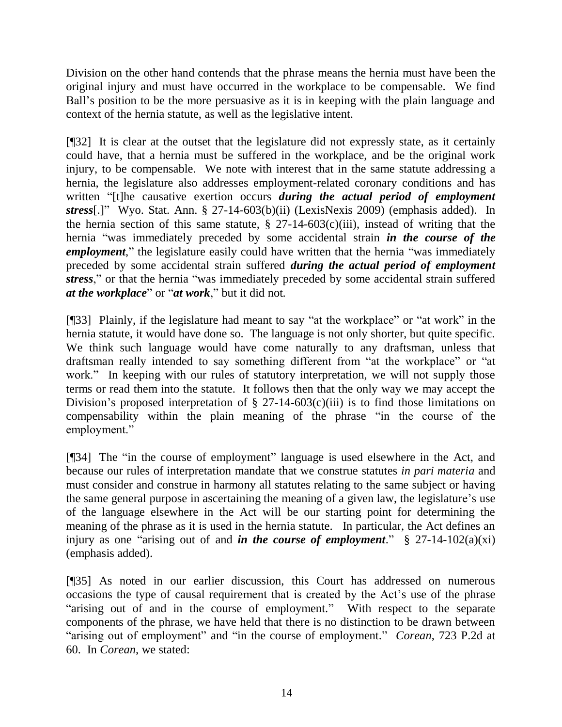Division on the other hand contends that the phrase means the hernia must have been the original injury and must have occurred in the workplace to be compensable. We find Ball's position to be the more persuasive as it is in keeping with the plain language and context of the hernia statute, as well as the legislative intent.

[¶32] It is clear at the outset that the legislature did not expressly state, as it certainly could have, that a hernia must be suffered in the workplace, and be the original work injury, to be compensable. We note with interest that in the same statute addressing a hernia, the legislature also addresses employment-related coronary conditions and has written "[t]he causative exertion occurs *during the actual period of employment stress*[.]" Wyo. Stat. Ann. § 27-14-603(b)(ii) (LexisNexis 2009) (emphasis added). In the hernia section of this same statute,  $\S$  27-14-603(c)(iii), instead of writing that the hernia "was immediately preceded by some accidental strain *in the course of the employment*," the legislature easily could have written that the hernia "was immediately preceded by some accidental strain suffered *during the actual period of employment stress*," or that the hernia "was immediately preceded by some accidental strain suffered *at the workplace*" or "*at work*," but it did not.

[¶33] Plainly, if the legislature had meant to say "at the workplace" or "at work" in the hernia statute, it would have done so. The language is not only shorter, but quite specific. We think such language would have come naturally to any draftsman, unless that draftsman really intended to say something different from "at the workplace" or "at work." In keeping with our rules of statutory interpretation, we will not supply those terms or read them into the statute. It follows then that the only way we may accept the Division's proposed interpretation of  $\S 27$ -14-603(c)(iii) is to find those limitations on compensability within the plain meaning of the phrase "in the course of the employment."

[¶34] The "in the course of employment" language is used elsewhere in the Act, and because our rules of interpretation mandate that we construe statutes *in pari materia* and must consider and construe in harmony all statutes relating to the same subject or having the same general purpose in ascertaining the meaning of a given law, the legislature's use of the language elsewhere in the Act will be our starting point for determining the meaning of the phrase as it is used in the hernia statute. In particular, the Act defines an injury as one "arising out of and *in the course of employment*." § 27-14-102(a)(xi) (emphasis added).

[¶35] As noted in our earlier discussion, this Court has addressed on numerous occasions the type of causal requirement that is created by the Act's use of the phrase "arising out of and in the course of employment." With respect to the separate components of the phrase, we have held that there is no distinction to be drawn between "arising out of employment" and "in the course of employment." *Corean*, 723 P.2d at 60. In *Corean*, we stated: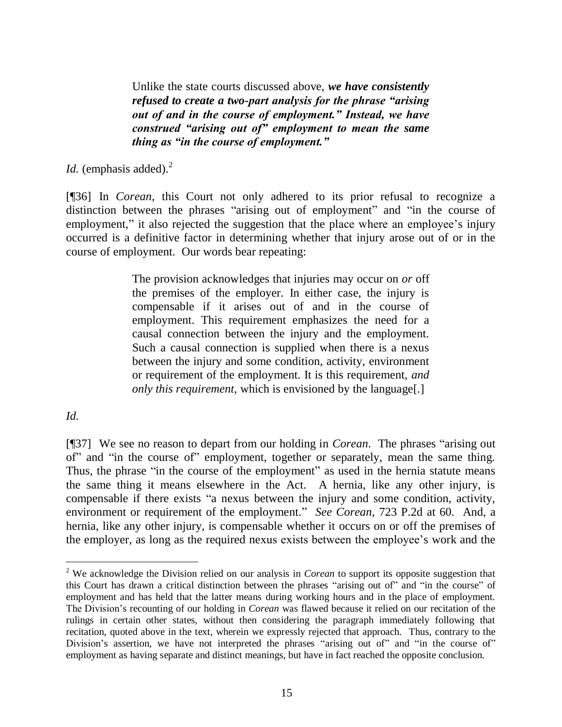Unlike the state courts discussed above, *we have consistently refused to create a two-part analysis for the phrase "arising out of and in the course of employment." Instead, we have construed "arising out of" employment to mean the same thing as "in the course of employment."*

*Id.* (emphasis added).<sup>2</sup>

[¶36] In *Corean*, this Court not only adhered to its prior refusal to recognize a distinction between the phrases "arising out of employment" and "in the course of employment," it also rejected the suggestion that the place where an employee's injury occurred is a definitive factor in determining whether that injury arose out of or in the course of employment. Our words bear repeating:

> The provision acknowledges that injuries may occur on *or* off the premises of the employer. In either case, the injury is compensable if it arises out of and in the course of employment. This requirement emphasizes the need for a causal connection between the injury and the employment. Such a causal connection is supplied when there is a nexus between the injury and some condition, activity, environment or requirement of the employment. It is this requirement, *and only this requirement,* which is envisioned by the language[.]

*Id.* 

 $\overline{a}$ 

[¶37] We see no reason to depart from our holding in *Corean*. The phrases "arising out of" and "in the course of" employment, together or separately, mean the same thing. Thus, the phrase "in the course of the employment" as used in the hernia statute means the same thing it means elsewhere in the Act. A hernia, like any other injury, is compensable if there exists "a nexus between the injury and some condition, activity, environment or requirement of the employment." *See Corean*, 723 P.2d at 60. And, a hernia, like any other injury, is compensable whether it occurs on or off the premises of the employer, as long as the required nexus exists between the employee's work and the

<sup>2</sup> We acknowledge the Division relied on our analysis in *Corean* to support its opposite suggestion that this Court has drawn a critical distinction between the phrases "arising out of" and "in the course" of employment and has held that the latter means during working hours and in the place of employment. The Division's recounting of our holding in *Corean* was flawed because it relied on our recitation of the rulings in certain other states, without then considering the paragraph immediately following that recitation, quoted above in the text, wherein we expressly rejected that approach. Thus, contrary to the Division's assertion, we have not interpreted the phrases "arising out of" and "in the course of" employment as having separate and distinct meanings, but have in fact reached the opposite conclusion.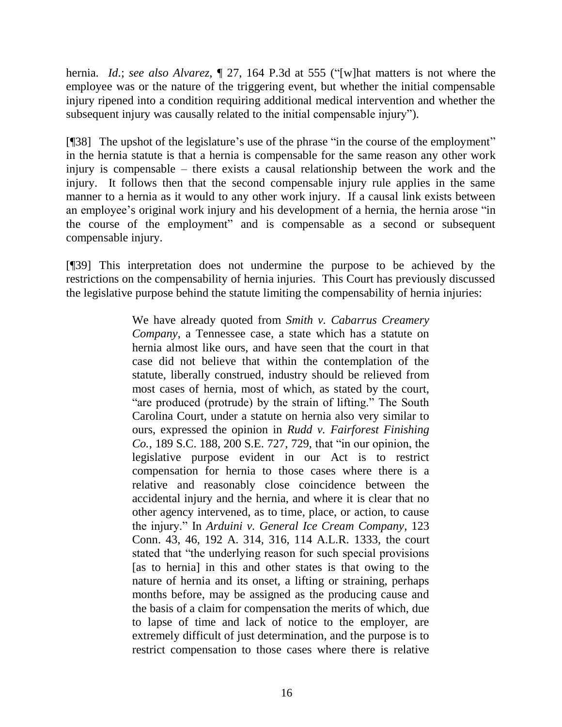hernia. *Id*.; *see also Alvarez*, ¶ 27, 164 P.3d at 555 ("[w]hat matters is not where the employee was or the nature of the triggering event, but whether the initial compensable injury ripened into a condition requiring additional medical intervention and whether the subsequent injury was causally related to the initial compensable injury").

[¶38] The upshot of the legislature's use of the phrase "in the course of the employment" in the hernia statute is that a hernia is compensable for the same reason any other work injury is compensable – there exists a causal relationship between the work and the injury. It follows then that the second compensable injury rule applies in the same manner to a hernia as it would to any other work injury. If a causal link exists between an employee's original work injury and his development of a hernia, the hernia arose "in the course of the employment" and is compensable as a second or subsequent compensable injury.

[¶39] This interpretation does not undermine the purpose to be achieved by the restrictions on the compensability of hernia injuries. This Court has previously discussed the legislative purpose behind the statute limiting the compensability of hernia injuries:

> We have already quoted from *Smith v. Cabarrus Creamery Company*, a Tennessee case, a state which has a statute on hernia almost like ours, and have seen that the court in that case did not believe that within the contemplation of the statute, liberally construed, industry should be relieved from most cases of hernia, most of which, as stated by the court, "are produced (protrude) by the strain of lifting." The South Carolina Court, under a statute on hernia also very similar to ours, expressed the opinion in *[Rudd v. Fairforest Finishing](http://www.westlaw.com/Find/Default.wl?rs=dfa1.0&vr=2.0&DB=710&FindType=Y&ReferencePositionType=S&SerialNum=1939105153&ReferencePosition=729)  Co.*[, 189 S.C. 188, 200 S.E. 727, 729,](http://www.westlaw.com/Find/Default.wl?rs=dfa1.0&vr=2.0&DB=710&FindType=Y&ReferencePositionType=S&SerialNum=1939105153&ReferencePosition=729) that "in our opinion, the legislative purpose evident in our Act is to restrict compensation for hernia to those cases where there is a relative and reasonably close coincidence between the accidental injury and the hernia, and where it is clear that no other agency intervened, as to time, place, or action, to cause the injury." In *[Arduini v. General Ice Cream Company](http://www.westlaw.com/Find/Default.wl?rs=dfa1.0&vr=2.0&DB=104&FindType=Y&SerialNum=1937116294)*, 123 [Conn. 43, 46, 192 A. 314, 316, 114 A.L.R. 1333,](http://www.westlaw.com/Find/Default.wl?rs=dfa1.0&vr=2.0&DB=104&FindType=Y&SerialNum=1937116294) the court stated that "the underlying reason for such special provisions [as to hernia] in this and other states is that owing to the nature of hernia and its onset, a lifting or straining, perhaps months before, may be assigned as the producing cause and the basis of a claim for compensation the merits of which, due to lapse of time and lack of notice to the employer, are extremely difficult of just determination, and the purpose is to restrict compensation to those cases where there is relative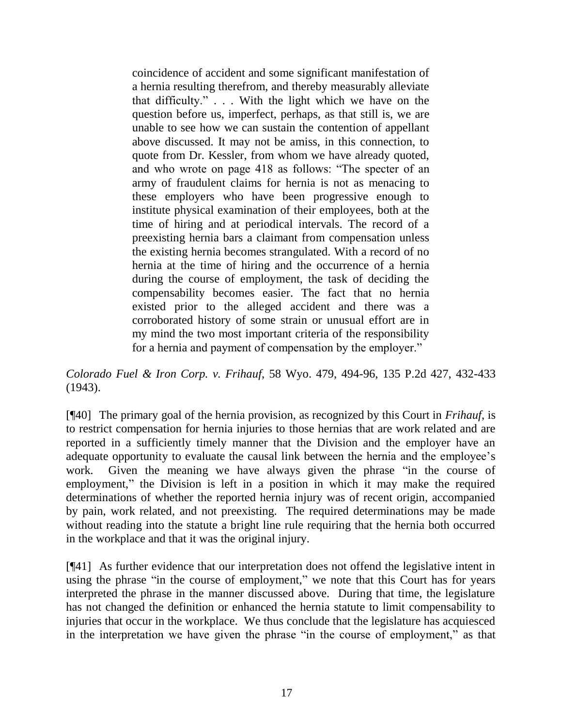coincidence of accident and some significant manifestation of a hernia resulting therefrom, and thereby measurably alleviate that difficulty." . . . With the light which we have on the question before us, imperfect, perhaps, as that still is, we are unable to see how we can sustain the contention of appellant above discussed. It may not be amiss, in this connection, to quote from Dr. Kessler, from whom we have already quoted, and who wrote on page 418 as follows: "The specter of an army of fraudulent claims for hernia is not as menacing to these employers who have been progressive enough to institute physical examination of their employees, both at the time of hiring and at periodical intervals. The record of a preexisting hernia bars a claimant from compensation unless the existing hernia becomes strangulated. With a record of no hernia at the time of hiring and the occurrence of a hernia during the course of employment, the task of deciding the compensability becomes easier. The fact that no hernia existed prior to the alleged accident and there was a corroborated history of some strain or unusual effort are in my mind the two most important criteria of the responsibility for a hernia and payment of compensation by the employer."

*Colorado Fuel & Iron Corp. v. Frihauf*, 58 Wyo. 479, 494-96, 135 P.2d 427, 432-433 (1943).

[¶40] The primary goal of the hernia provision, as recognized by this Court in *Frihauf*, is to restrict compensation for hernia injuries to those hernias that are work related and are reported in a sufficiently timely manner that the Division and the employer have an adequate opportunity to evaluate the causal link between the hernia and the employee's work. Given the meaning we have always given the phrase "in the course of employment," the Division is left in a position in which it may make the required determinations of whether the reported hernia injury was of recent origin, accompanied by pain, work related, and not preexisting. The required determinations may be made without reading into the statute a bright line rule requiring that the hernia both occurred in the workplace and that it was the original injury.

[¶41] As further evidence that our interpretation does not offend the legislative intent in using the phrase "in the course of employment," we note that this Court has for years interpreted the phrase in the manner discussed above. During that time, the legislature has not changed the definition or enhanced the hernia statute to limit compensability to injuries that occur in the workplace. We thus conclude that the legislature has acquiesced in the interpretation we have given the phrase "in the course of employment," as that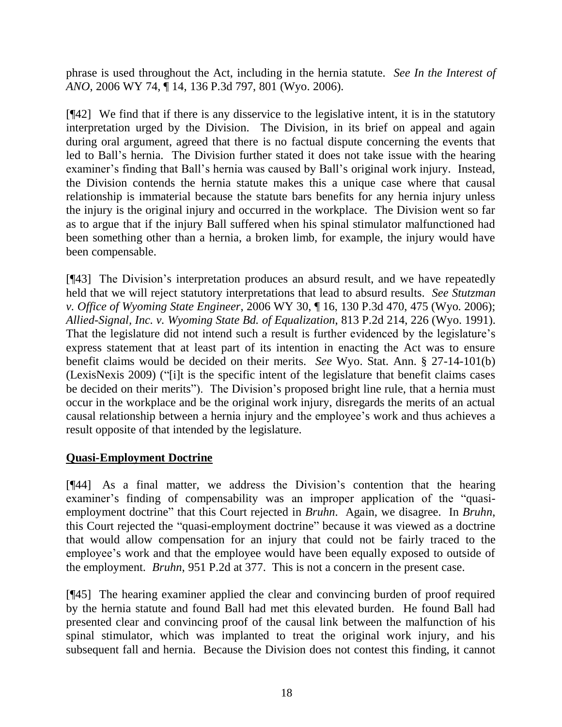phrase is used throughout the Act, including in the hernia statute. *See In the Interest of ANO*, 2006 WY 74, ¶ 14, 136 P.3d 797, 801 (Wyo. 2006).

[¶42] We find that if there is any disservice to the legislative intent, it is in the statutory interpretation urged by the Division. The Division, in its brief on appeal and again during oral argument, agreed that there is no factual dispute concerning the events that led to Ball's hernia. The Division further stated it does not take issue with the hearing examiner's finding that Ball's hernia was caused by Ball's original work injury. Instead, the Division contends the hernia statute makes this a unique case where that causal relationship is immaterial because the statute bars benefits for any hernia injury unless the injury is the original injury and occurred in the workplace. The Division went so far as to argue that if the injury Ball suffered when his spinal stimulator malfunctioned had been something other than a hernia, a broken limb, for example, the injury would have been compensable.

[¶43] The Division's interpretation produces an absurd result, and we have repeatedly held that we will reject statutory interpretations that lead to absurd results. *See Stutzman v. Office of Wyoming State Engineer*, 2006 WY 30, ¶ 16, 130 P.3d 470, 475 (Wyo. 2006); *Allied-Signal, Inc. v. Wyoming State Bd. of Equalization*, 813 P.2d 214, 226 (Wyo. 1991). That the legislature did not intend such a result is further evidenced by the legislature's express statement that at least part of its intention in enacting the Act was to ensure benefit claims would be decided on their merits. *See* Wyo. Stat. Ann. § 27-14-101(b) (LexisNexis 2009) ("[i]t is the specific intent of the legislature that benefit claims cases be decided on their merits"). The Division's proposed bright line rule, that a hernia must occur in the workplace and be the original work injury, disregards the merits of an actual causal relationship between a hernia injury and the employee's work and thus achieves a result opposite of that intended by the legislature.

# **Quasi-Employment Doctrine**

[¶44] As a final matter, we address the Division's contention that the hearing examiner's finding of compensability was an improper application of the "quasiemployment doctrine" that this Court rejected in *Bruhn*. Again, we disagree. In *Bruhn*, this Court rejected the "quasi-employment doctrine" because it was viewed as a doctrine that would allow compensation for an injury that could not be fairly traced to the employee's work and that the employee would have been equally exposed to outside of the employment. *Bruhn*, 951 P.2d at 377. This is not a concern in the present case.

[¶45] The hearing examiner applied the clear and convincing burden of proof required by the hernia statute and found Ball had met this elevated burden. He found Ball had presented clear and convincing proof of the causal link between the malfunction of his spinal stimulator, which was implanted to treat the original work injury, and his subsequent fall and hernia. Because the Division does not contest this finding, it cannot